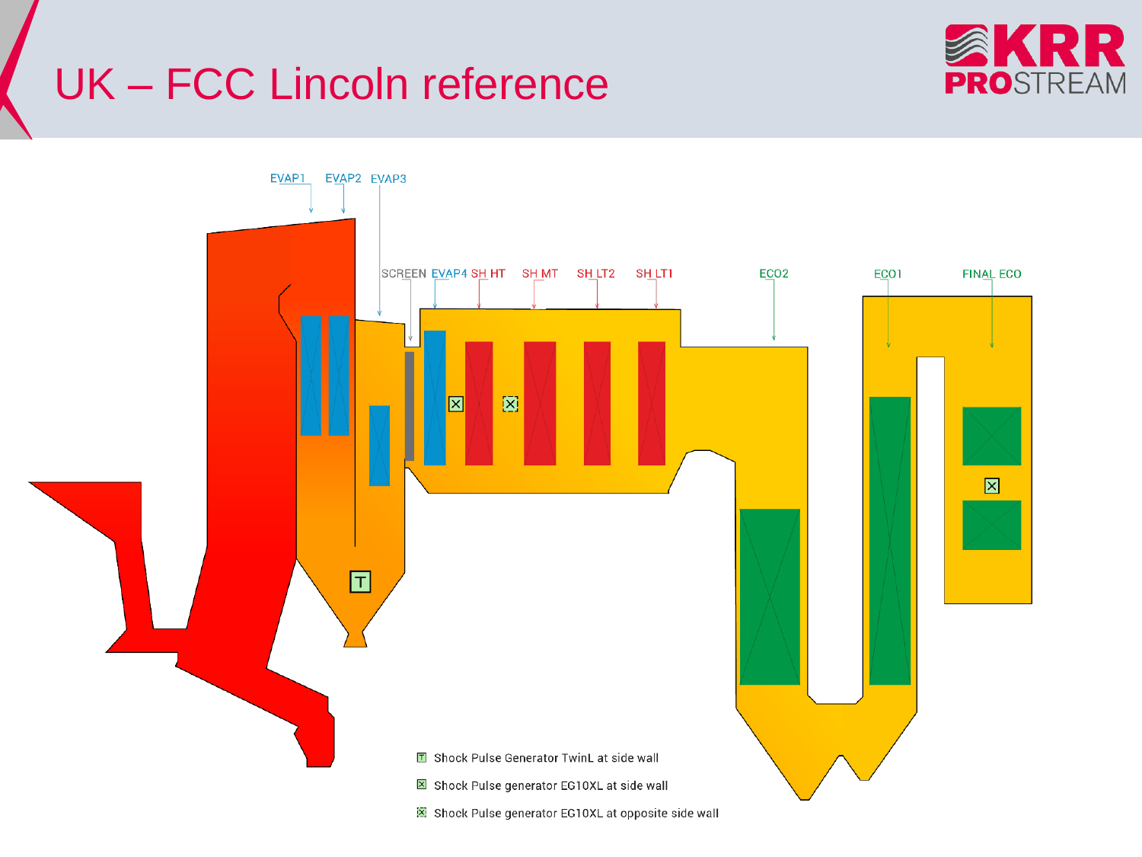## **UK - FCC Lincoln reference**



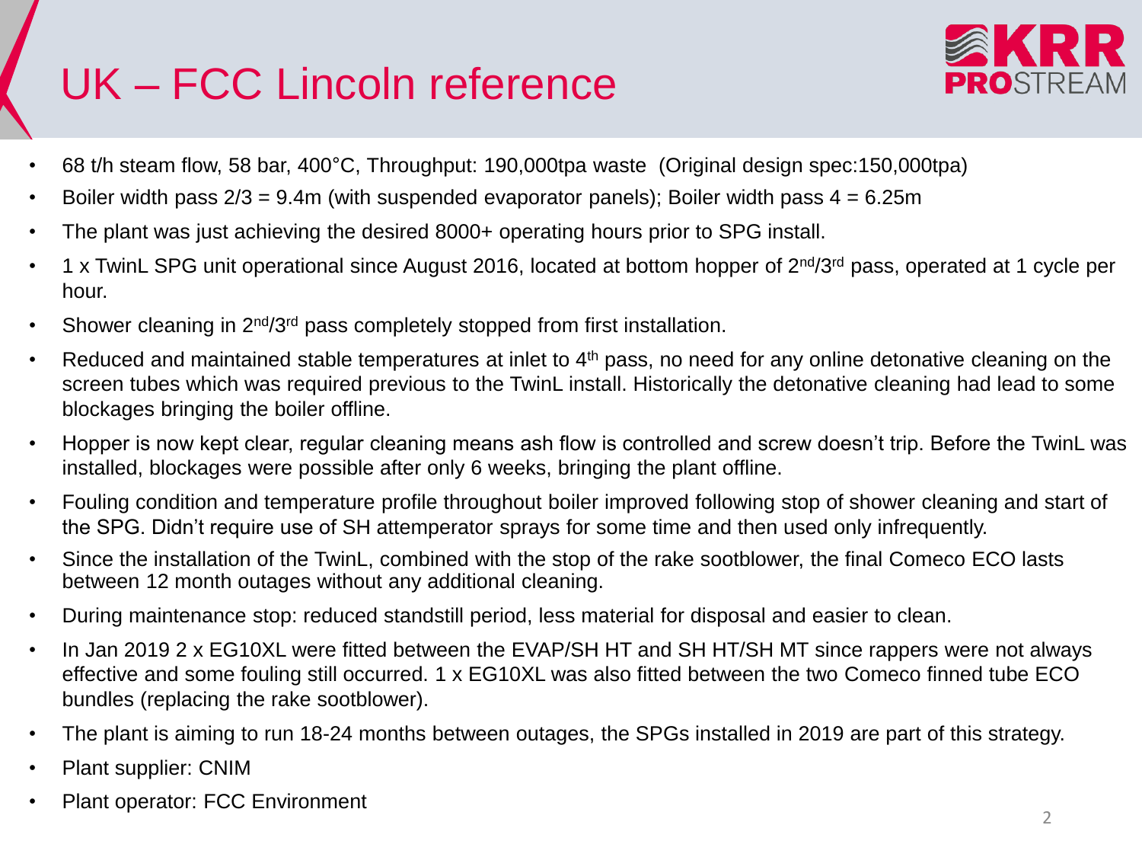## UK – FCC Lincoln reference



- 68 t/h steam flow, 58 bar, 400°C, Throughput: 190,000tpa waste (Original design spec:150,000tpa)
- Boiler width pass  $2/3 = 9.4$ m (with suspended evaporator panels); Boiler width pass  $4 = 6.25$ m
- The plant was just achieving the desired 8000+ operating hours prior to SPG install.
- 1 x TwinL SPG unit operational since August 2016, located at bottom hopper of 2<sup>nd</sup>/3<sup>rd</sup> pass, operated at 1 cycle per hour.
- Shower cleaning in 2<sup>nd</sup>/3<sup>rd</sup> pass completely stopped from first installation.
- Reduced and maintained stable temperatures at inlet to 4<sup>th</sup> pass, no need for any online detonative cleaning on the screen tubes which was required previous to the TwinL install. Historically the detonative cleaning had lead to some blockages bringing the boiler offline.
- Hopper is now kept clear, regular cleaning means ash flow is controlled and screw doesn't trip. Before the TwinL was installed, blockages were possible after only 6 weeks, bringing the plant offline.
- Fouling condition and temperature profile throughout boiler improved following stop of shower cleaning and start of the SPG. Didn't require use of SH attemperator sprays for some time and then used only infrequently.
- Since the installation of the TwinL, combined with the stop of the rake sootblower, the final Comeco ECO lasts between 12 month outages without any additional cleaning.
- During maintenance stop: reduced standstill period, less material for disposal and easier to clean.
- In Jan 2019 2 x EG10XL were fitted between the EVAP/SH HT and SH HT/SH MT since rappers were not always effective and some fouling still occurred. 1 x EG10XL was also fitted between the two Comeco finned tube ECO bundles (replacing the rake sootblower).
- The plant is aiming to run 18-24 months between outages, the SPGs installed in 2019 are part of this strategy.
- Plant supplier: CNIM
- Plant operator: FCC Environment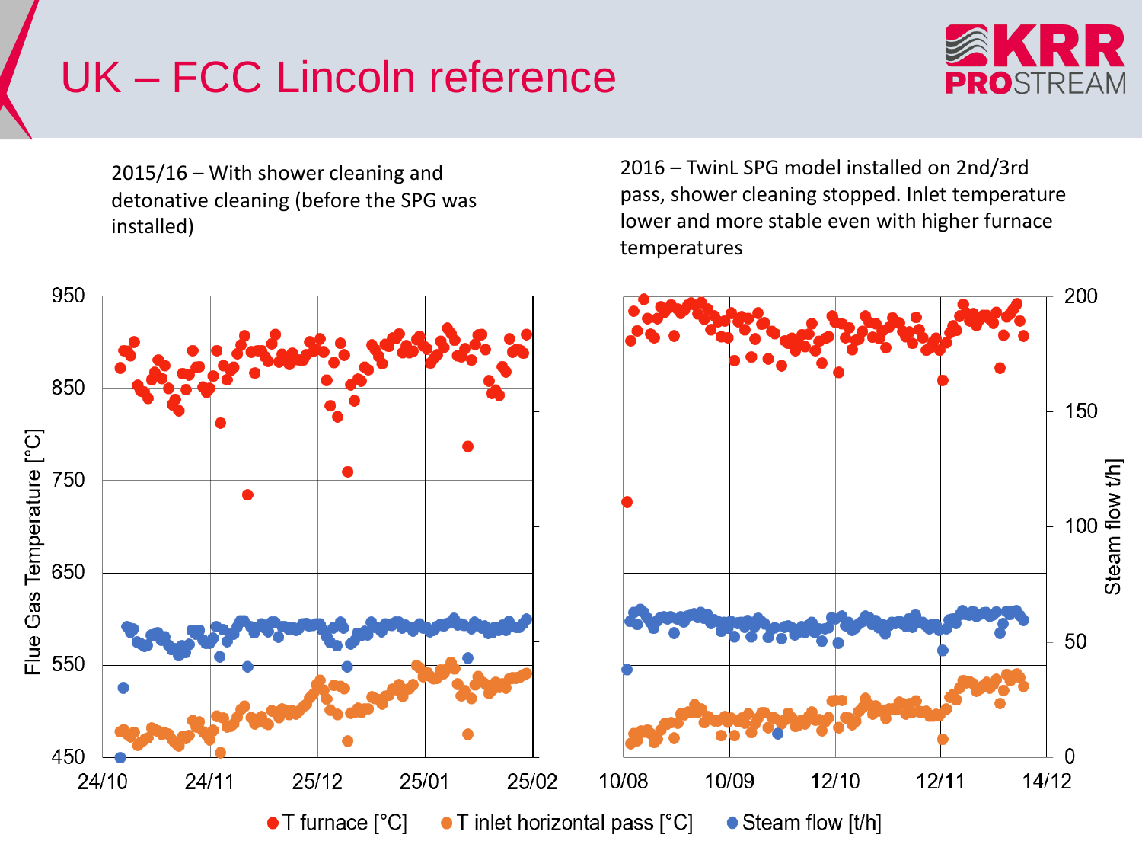## UK – FCC Lincoln reference



2016 – TwinL SPG model installed on 2nd/3rd

pass, shower cleaning stopped. Inlet temperature lower and more stable even with higher furnace

2015/16 – With shower cleaning and detonative cleaning (before the SPG was installed)